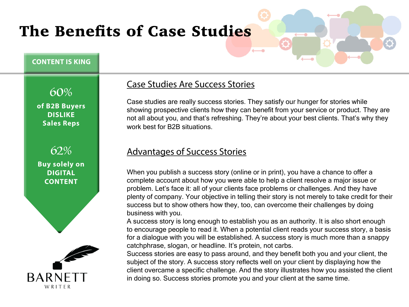# The Benefits of Case Studies

#### **CONTENT IS KING**

60% **of B2B Buyers DISLIKE Sales Reps**



#### **Buy solely on DIGITAL CONTENT**



## Case Studies Are Success Stories

Case studies are really success stories. They satisfy our hunger for stories while showing prospective clients how they can benefit from your service or product. They are not all about you, and that's refreshing. They're about your best clients. That's why they work best for B2B situations.

### Advantages of Success Stories

When you publish a success story (online or in print), you have a chance to offer a complete account about how you were able to help a client resolve a major issue or problem. Let's face it: all of your clients face problems or challenges. And they have plenty of company. Your objective in telling their story is not merely to take credit for their success but to show others how they, too, can overcome their challenges by doing business with you.

A success story is long enough to establish you as an authority. It is also short enough to encourage people to read it. When a potential client reads your success story, a basis for a dialogue with you will be established. A success story is much more than a snappy catchphrase, slogan, or headline. It's protein, not carbs.

Success stories are easy to pass around, and they benefit both you and your client, the subject of the story. A success story reflects well on your client by displaying how the client overcame a specific challenge. And the story illustrates how you assisted the client in doing so. Success stories promote you and your client at the same time.